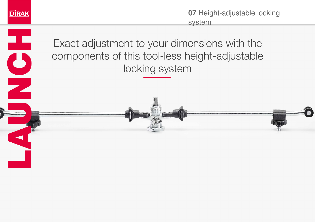

æ

 $\overline{\mathbf{C}}$ 

 $\overline{\phantom{a}}$ 

 $\blacktriangleleft$ 

**07** Height-adjustable locking system

Exact adjustment to your dimensions with the components of this tool-less height-adjustable locking system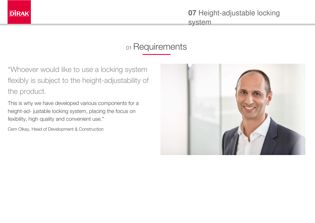

system

## 01 Requirements

"Whoever would like to use a locking system flexibly is subject to the height-adjustability of the product.

This is why we have developed various components for a height-ad- justable locking system, placing the focus on fexibility, high quality and convenient use."

Cem Olkay, Head of Development & Construction

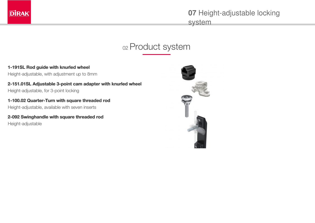

system

# 02 Product system

**1-191SL Rod guide with knurled wheel** Height-adjustable, with adjustment up to 8mm

**2-151.01SL Adjustable 3-point cam adapter with knurled wheel** Height-adjustable, for 3-point locking

**1-100.02 Quarter-Turn with square threaded rod** Height-adjustable, available with seven inserts

**2-092 Swinghandle with square threaded rod** Height-adjustable

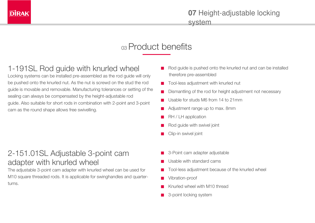

## 03 Product benefits

## 1-191SL Rod guide with knurled wheel

Locking systems can be installed pre-assembled as the rod guide will only be pushed onto the knurled nut. As the nut is screwd on the stud the rod guide is movable and removable. Manufacturing tolerances or setting of the sealing can always be compensated by the height-adjustable rod guide. Also suitable for short rods in combination with 2-point and 3-point cam as the round shape allows free swivelling.

#### 2-151.01SL Adjustable 3-point cam adapter with knurled wheel

The adjustable 3-point cam adapter with knurled wheel can be used for M10 square threaded rods. It is applicable for swinghandles and quarterturns.

- Rod guide is pushed onto the knurled nut and can be installed therefore pre-assembled
- Tool-less adjustment with knurled nut
- Dismantling of the rod for height adjustment not necessary
- Usable for studs M6 from 14 to 21mm
- Adjustment range up to max. 8mm
- RH / LH application
- Rod guide with swivel joint
- Clip-in swivel joint
- 3-Point cam adapter adjustable
- Usable with standard cams
- Tool-less adjustment because of the knurled wheel
- Vibration-proof
- Knurled wheel with M10 thread
- 3-point locking system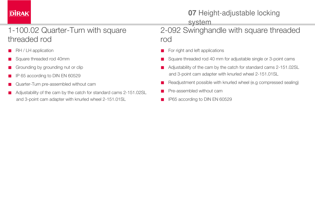# **DİRAK**

# **07** Height-adjustable locking

system

## 1-100.02 Quarter-Turn with square threaded rod

- RH / LH application
- Square threaded rod 40mm
- Grounding by grounding nut or clip
- IP 65 according to DIN EN 60529
- Quarter-Turn pre-assembled without cam
- Adjustability of the cam by the catch for standard cams 2-151.02SL and 3-point cam adapter with knurled wheel 2-151.01SL

2-092 Swinghandle with square threaded rod

- For right and left applications
- Square threaded rod 40 mm for adjustable single or 3-point cams
- Adjustability of the cam by the catch for standard cams 2-151.02SL and 3-point cam adapter with knurled wheel 2-151.01SL
- Readjustment possible with knurled wheel (e.g compressed sealing)
- Pre-assembled without cam
- IP65 according to DIN EN 60529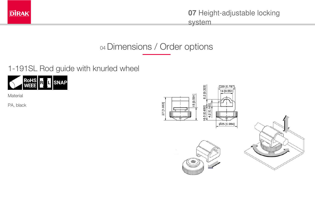

system

# 04 Dimensions / Order options

1-191SL Rod guide with knurled wheel



**Material** 

PA, black

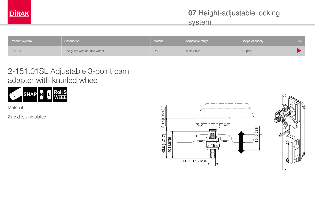system

| Product system | Description                  | Material | Adjustable range | Scope of supply | Link |
|----------------|------------------------------|----------|------------------|-----------------|------|
| 1-191SL        | Rod guide with knurled wheel | PA       | max. 8mm         | 10 pcs.         |      |

#### 2-151.01SL Adjustable 3-point cam adapter with knurled wheel



**Material** 

Zinc die, zinc plated

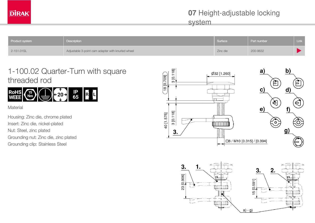system

| Product system | Description                                       | Surface  | Part number | Link |
|----------------|---------------------------------------------------|----------|-------------|------|
| 2-151.01SL     | Adjustable 3-point cam adapter with knurled wheel | Zinc die | 200-9632    |      |

#### 1-100.02 Quarter-Turn with square threaded rod



**Material** 

Housing: Zinc die, chrome plated Insert: Zinc die, nickel-plated Nut: Steel, zinc plated Grounding nut: Zinc die, zinc plated Grounding clip: Stainless Steel



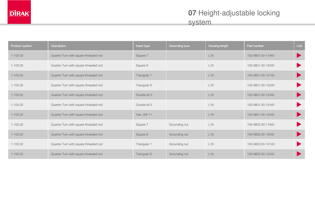| Product system | <b>Description</b>                    | Insert type  | Grounding tyoe | Housing length  | Part number       | Link |
|----------------|---------------------------------------|--------------|----------------|-----------------|-------------------|------|
| $1 - 100.02$   | Quarter-Turn with square threaded rod | Square 7     |                | L18             | 100-9801.00-11940 |      |
| $1 - 100.02$   | Quarter-Turn with square threaded rod | Square 8     |                | L <sub>18</sub> | 100-9801.00-12040 |      |
| $1 - 100.02$   | Quarter-Turn with square threaded rod | Triangular 7 |                | L18             | 100-9801.00-12140 |      |
| $1 - 100.02$   | Quarter-Turn with square threaded rod | Triangular 8 |                | L18             | 100-9801.00-12240 |      |
| $1 - 100.02$   | Quarter-Turn with square threaded rod | Double bit 3 |                | L18             | 100-9801.00-12340 |      |
| $1 - 100.02$   | Quarter-Turn with square threaded rod | Double bit 5 |                | L <sub>18</sub> | 100-9801.00-12440 |      |
| $1 - 100.02$   | Quarter-Turn with square threaded rod | Hex. SW 11   |                | L18             | 100-9801.00-12540 |      |
| $1 - 100.02$   | Quarter-Turn with square threaded rod | Square 7     | Grounding nut  | L18             | 100-9802.00-11940 |      |
| $1 - 100.02$   | Quarter-Turn with square threaded rod | Square 8     | Grounding nut  | L18             | 100-9802.00-12040 |      |
| $1 - 100.02$   | Quarter-Turn with square threaded rod | Triangular 7 | Grounding nut  | L18             | 100-9802.00-12140 |      |
| $1 - 100.02$   | Quarter-Turn with square threaded rod | Triangular 8 | Grounding nut  | L18             | 100-9802.00-12240 |      |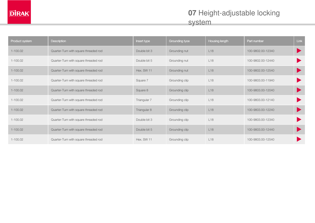system

| Product system | Description                           | Insert type  | Grounding tyoe | Housing length  | Part number       | Link |
|----------------|---------------------------------------|--------------|----------------|-----------------|-------------------|------|
| $1 - 100.02$   | Quarter-Turn with square threaded rod | Double bit 3 | Grounding nut  | L18             | 100-9802.00-12340 |      |
| $1 - 100.02$   | Quarter-Turn with square threaded rod | Double bit 5 | Grounding nut  | L18             | 100-9802.00-12440 |      |
| $1 - 100.02$   | Quarter-Turn with square threaded rod | Hex. SW 11   | Grounding nut  | L18             | 100-9802.00-12540 |      |
| $1 - 100.02$   | Quarter-Turn with square threaded rod | Square 7     | Grounding clip | L18             | 100-9803.00-11940 |      |
| $1 - 100.02$   | Quarter-Turn with square threaded rod | Square 8     | Grounding clip | L18             | 100-9803.00-12040 |      |
| $1 - 100.02$   | Quarter-Turn with square threaded rod | Triangular 7 | Grounding clip | L <sub>18</sub> | 100-9803.00-12140 |      |
| $1 - 100.02$   | Quarter-Turn with square threaded rod | Triangular 8 | Grounding clip | L18             | 100-9803.00-12240 |      |
| $1 - 100.02$   | Quarter-Turn with square threaded rod | Double bit 3 | Grounding clip | L18             | 100-9803.00-12340 |      |
| $1 - 100.02$   | Quarter-Turn with square threaded rod | Double bit 5 | Grounding clip | L18             | 100-9803.00-12440 |      |
| $1 - 100.02$   | Quarter-Turn with square threaded rod | Hex. SW 11   | Grounding clip | L18             | 100-9803.00-12540 |      |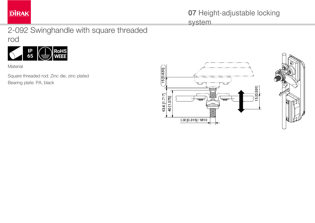

system

#### 2-092 Swinghandle with square threaded rod



Material

Square threaded rod: Zinc die, zinc plated Bearing plate: PA, black

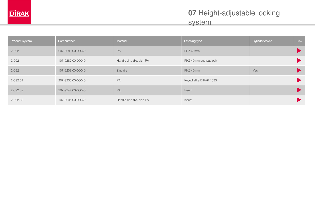## 07 Height-adjustable locking system

| Product system | Part number       | Material                 | Latching type          | Cylinder cover | Link |
|----------------|-------------------|--------------------------|------------------------|----------------|------|
| $2 - 092$      | 207-9282.00-00040 | PA                       | PHZ 40mm               |                |      |
| $2 - 092$      | 107-9282.00-00040 | Handle zinc die, dish PA | PHZ 40mm and padlock   |                |      |
| $2 - 092$      | 107-9208.00-00040 | Zinc die                 | PHZ 40mm               | Yes            |      |
| 2-092.01       | 207-9238.00-00040 | PA                       | Keyed alike DIRAK 1333 |                |      |
| 2-092.02       | 207-9244.00-00040 | PA                       | Insert                 |                |      |
| 2-092.03       | 107-9206.00-00040 | Handle zinc die, dish PA | Insert                 |                |      |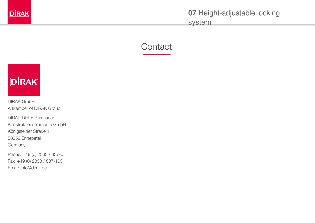

system





DIRAK GmbH – A Member of DIRAK Group

DIRAK Dieter Ramsauer Konstruktionselemente GmbH Königsfelder Straße 1 58256 Ennepetal Germany

Phone: +49 (0) 2333 / 837-0 Fax: +49 (0) 2333 / 837-103 Email: [info@dirak.de](mailto:info@dirak.de)